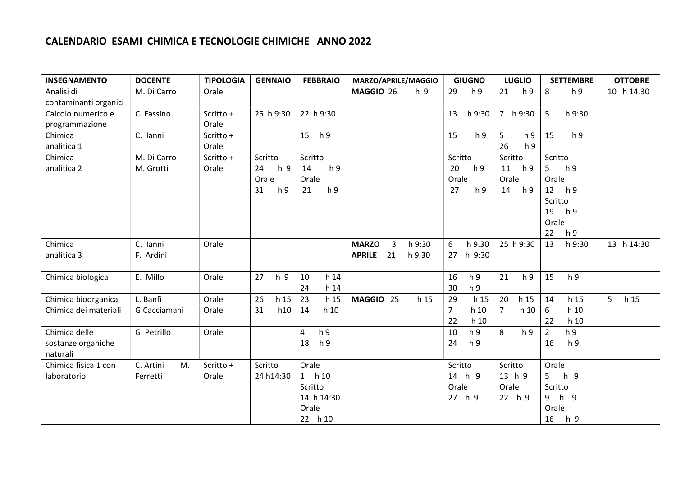## CALENDARIO ESAMI CHIMICA E TECNOLOGIE CHIMICHE ANNO 2022

| <b>INSEGNAMENTO</b>   | <b>DOCENTE</b>  | <b>TIPOLOGIA</b> | <b>GENNAIO</b>       | <b>FEBBRAIO</b>       | MARZO/APRILE/MAGGIO                      | <b>GIUGNO</b>          | <b>LUGLIO</b>          | <b>SETTEMBRE</b>                 | <b>OTTOBRE</b> |
|-----------------------|-----------------|------------------|----------------------|-----------------------|------------------------------------------|------------------------|------------------------|----------------------------------|----------------|
| Analisi di            | M. Di Carro     | Orale            |                      |                       | MAGGIO 26<br>h 9                         | 29<br>h <sub>9</sub>   | 21<br>h <sub>9</sub>   | 8<br>h <sub>9</sub>              | 10 h 14.30     |
| contaminanti organici |                 |                  |                      |                       |                                          |                        |                        |                                  |                |
| Calcolo numerico e    | C. Fassino      | Scritto +        | 25 h 9:30            | 22 h 9:30             |                                          | 13<br>h 9:30           | 7 h 9:30               | 5<br>h 9:30                      |                |
| programmazione        |                 | Orale            |                      |                       |                                          |                        |                        |                                  |                |
| Chimica               | C. Ianni        | Scritto +        |                      | h <sub>9</sub><br>15  |                                          | 15<br>h <sub>9</sub>   | 5<br>h <sub>9</sub>    | h <sub>9</sub><br>15             |                |
| analitica 1           |                 | Orale            |                      |                       |                                          |                        | 26<br>h <sub>9</sub>   |                                  |                |
| Chimica               | M. Di Carro     | Scritto +        | Scritto              | Scritto               |                                          | Scritto                | Scritto                | Scritto                          |                |
| analitica 2           | M. Grotti       | Orale            | h 9<br>24            | h <sub>9</sub><br>14  |                                          | 20<br>h 9              | h 9<br>11              | 5<br>h <sub>9</sub>              |                |
|                       |                 |                  | Orale                | Orale                 |                                          | Orale                  | Orale                  | Orale                            |                |
|                       |                 |                  | 31<br>h <sub>9</sub> | h <sub>9</sub><br>21  |                                          | 27<br>h <sub>9</sub>   | 14<br>h 9              | 12<br>h 9                        |                |
|                       |                 |                  |                      |                       |                                          |                        |                        | Scritto                          |                |
|                       |                 |                  |                      |                       |                                          |                        |                        | h 9<br>19                        |                |
|                       |                 |                  |                      |                       |                                          |                        |                        | Orale                            |                |
|                       |                 |                  |                      |                       |                                          |                        |                        | 22<br>h <sub>9</sub>             |                |
| Chimica               | C. Ianni        | Orale            |                      |                       | <b>MARZO</b><br>$\overline{3}$<br>h 9:30 | 6<br>h 9.30            | 25 h 9:30              | 13<br>h 9:30                     | 13 h 14:30     |
| analitica 3           | F. Ardini       |                  |                      |                       | 21<br><b>APRILE</b><br>h 9.30            | h 9:30<br>27           |                        |                                  |                |
|                       |                 |                  |                      |                       |                                          |                        |                        |                                  |                |
| Chimica biologica     | E. Millo        | Orale            | 27<br>h 9            | 10<br>h <sub>14</sub> |                                          | 16<br>h <sub>9</sub>   | 21<br>h <sub>9</sub>   | 15<br>h <sub>9</sub>             |                |
|                       |                 |                  |                      | h <sub>14</sub><br>24 |                                          | 30<br>h <sub>9</sub>   |                        |                                  |                |
| Chimica bioorganica   | L. Banfi        | Orale            | 26<br>h 15           | 23<br>h 15            | MAGGIO 25<br>h 15                        | 29<br>h 15             | 20<br>h 15             | 14<br>h 15                       | 5<br>h 15      |
| Chimica dei materiali | G.Cacciamani    | Orale            | 31<br>h10            | 14<br>h <sub>10</sub> |                                          | $\overline{7}$<br>h 10 | $\overline{7}$<br>h 10 | 6<br>h 10                        |                |
|                       |                 |                  |                      |                       |                                          | 22<br>h 10             |                        | 22<br>h 10                       |                |
| Chimica delle         | G. Petrillo     | Orale            |                      | h 9<br>4              |                                          | h <sub>9</sub><br>10   | 8<br>h <sub>9</sub>    | h <sub>9</sub><br>$\overline{2}$ |                |
| sostanze organiche    |                 |                  |                      | h <sub>9</sub><br>18  |                                          | 24<br>h 9              |                        | h <sub>9</sub><br>16             |                |
| naturali              |                 |                  |                      |                       |                                          |                        |                        |                                  |                |
| Chimica fisica 1 con  | C. Artini<br>M. | Scritto +        | Scritto              | Orale                 |                                          | Scritto                | Scritto                | Orale                            |                |
| laboratorio           | Ferretti        | Orale            | 24 h14:30            | 1 h10                 |                                          | 14 h 9                 | 13 h 9                 | h 9<br>5                         |                |
|                       |                 |                  |                      | Scritto               |                                          | Orale                  | Orale                  | Scritto                          |                |
|                       |                 |                  |                      | 14 h 14:30            |                                          | 27 h 9                 | 22 h 9                 | 9 h 9                            |                |
|                       |                 |                  |                      | Orale                 |                                          |                        |                        | Orale                            |                |
|                       |                 |                  |                      | 22 h 10               |                                          |                        |                        | 16<br>h 9                        |                |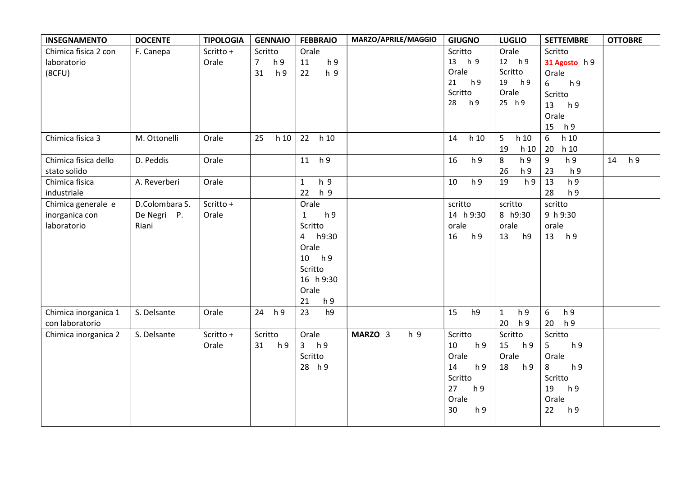| <b>INSEGNAMENTO</b>  | <b>DOCENTE</b> | <b>TIPOLOGIA</b> | <b>GENNAIO</b>                   | <b>FEBBRAIO</b>                | MARZO/APRILE/MAGGIO | <b>GIUGNO</b>        | <b>LUGLIO</b>                  | <b>SETTEMBRE</b>                   | <b>OTTOBRE</b> |
|----------------------|----------------|------------------|----------------------------------|--------------------------------|---------------------|----------------------|--------------------------------|------------------------------------|----------------|
| Chimica fisica 2 con | F. Canepa      | Scritto +        | Scritto                          | Orale                          |                     | Scritto              | Orale                          | Scritto                            |                |
| laboratorio          |                | Orale            | $\overline{7}$<br>h <sub>9</sub> | h 9<br>11                      |                     | 13 h 9               | 12 h 9                         | 31 Agosto h 9                      |                |
| (8CFU)               |                |                  | 31<br>h <sub>9</sub>             | 22<br>h <sub>9</sub>           |                     | Orale                | Scritto                        | Orale                              |                |
|                      |                |                  |                                  |                                |                     | 21<br>h 9            | 19 h 9                         | 6<br>h <sub>9</sub>                |                |
|                      |                |                  |                                  |                                |                     | Scritto              | Orale                          | Scritto                            |                |
|                      |                |                  |                                  |                                |                     | 28<br>h 9            | 25 h 9                         | 13<br>h 9                          |                |
|                      |                |                  |                                  |                                |                     |                      |                                | Orale                              |                |
|                      |                |                  |                                  |                                |                     |                      |                                | 15<br>h 9                          |                |
| Chimica fisica 3     | M. Ottonelli   | Orale            | 25<br>h <sub>10</sub>            | 22<br>h <sub>10</sub>          |                     | h 10<br>14           | 5<br>h <sub>10</sub>           | $\boldsymbol{6}$<br>h 10           |                |
|                      |                |                  |                                  |                                |                     |                      | 19<br>h 10                     | 20<br>h 10                         |                |
| Chimica fisica dello | D. Peddis      | Orale            |                                  | 11 h 9                         |                     | h <sub>9</sub><br>16 | 8<br>h <sub>9</sub>            | $\boldsymbol{9}$<br>h <sub>9</sub> | h 9<br>14      |
| stato solido         |                |                  |                                  |                                |                     |                      | 26<br>h <sub>9</sub>           | 23<br>h 9                          |                |
| Chimica fisica       | A. Reverberi   | Orale            |                                  | h 9<br>$\mathbf{1}$            |                     | h <sub>9</sub><br>10 | 19<br>h <sub>9</sub>           | h 9<br>13                          |                |
| industriale          |                |                  |                                  | 22<br>h 9                      |                     |                      |                                | 28<br>h 9                          |                |
| Chimica generale e   | D.Colombara S. | Scritto +        |                                  | Orale                          |                     | scritto              | scritto                        | scritto                            |                |
| inorganica con       | De Negri P.    | Orale            |                                  | $\mathbf{1}$<br>h <sub>9</sub> |                     | 14 h 9:30            | 8 h9:30                        | 9 h 9:30                           |                |
| laboratorio          | Riani          |                  |                                  | Scritto                        |                     | orale                | orale                          | orale                              |                |
|                      |                |                  |                                  | 4 h9:30                        |                     | h <sub>9</sub><br>16 | 13<br>h9                       | 13 h 9                             |                |
|                      |                |                  |                                  | Orale                          |                     |                      |                                |                                    |                |
|                      |                |                  |                                  | 10 h 9                         |                     |                      |                                |                                    |                |
|                      |                |                  |                                  | Scritto                        |                     |                      |                                |                                    |                |
|                      |                |                  |                                  | 16 h 9:30                      |                     |                      |                                |                                    |                |
|                      |                |                  |                                  | Orale                          |                     |                      |                                |                                    |                |
|                      |                |                  |                                  | 21<br>h <sub>9</sub>           |                     |                      |                                |                                    |                |
| Chimica inorganica 1 | S. Delsante    | Orale            | h <sub>9</sub><br>24             | 23<br>h9                       |                     | h9<br>15             | h <sub>9</sub><br>$\mathbf{1}$ | h <sub>9</sub><br>6                |                |
| con laboratorio      |                |                  |                                  |                                |                     |                      | 20<br>h 9                      | 20<br>h 9                          |                |
| Chimica inorganica 2 | S. Delsante    | Scritto +        | Scritto                          | Orale                          | MARZO 3<br>h 9      | Scritto              | Scritto                        | Scritto                            |                |
|                      |                | Orale            | 31<br>h <sub>9</sub>             | 3 h9                           |                     | 10<br>h 9            | 15<br>h 9                      | 5<br>h <sub>9</sub>                |                |
|                      |                |                  |                                  | Scritto                        |                     | Orale                | Orale                          | Orale                              |                |
|                      |                |                  |                                  | 28 h 9                         |                     | 14<br>h <sub>9</sub> | 18<br>h 9                      | 8<br>h <sub>9</sub>                |                |
|                      |                |                  |                                  |                                |                     | Scritto              |                                | Scritto                            |                |
|                      |                |                  |                                  |                                |                     | 27<br>h <sub>9</sub> |                                | 19<br>h 9                          |                |
|                      |                |                  |                                  |                                |                     | Orale                |                                | Orale                              |                |
|                      |                |                  |                                  |                                |                     | 30<br>h <sub>9</sub> |                                | 22<br>h 9                          |                |
|                      |                |                  |                                  |                                |                     |                      |                                |                                    |                |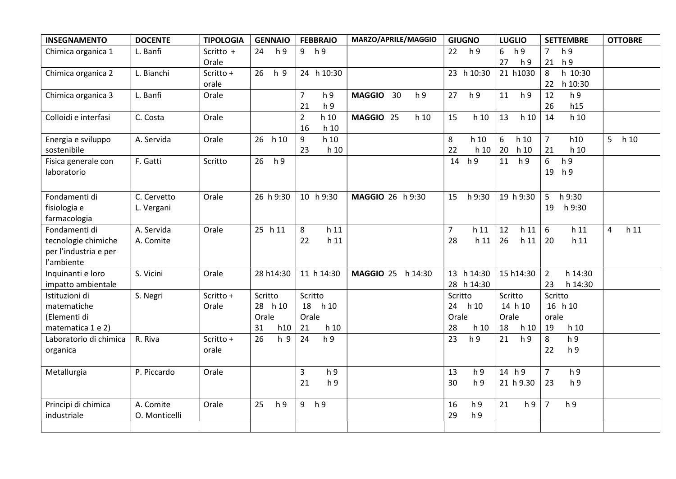| <b>INSEGNAMENTO</b>                                                         | <b>DOCENTE</b>             | <b>TIPOLOGIA</b>   | <b>GENNAIO</b>                           | <b>FEBBRAIO</b>                                            | MARZO/APRILE/MAGGIO                   | <b>GIUGNO</b>                                              | <b>LUGLIO</b>                             | <b>SETTEMBRE</b>                                         | <b>OTTOBRE</b>                    |
|-----------------------------------------------------------------------------|----------------------------|--------------------|------------------------------------------|------------------------------------------------------------|---------------------------------------|------------------------------------------------------------|-------------------------------------------|----------------------------------------------------------|-----------------------------------|
| Chimica organica 1                                                          | L. Banfi                   | Scritto +<br>Orale | h <sub>9</sub><br>24                     | 9 h 9                                                      |                                       | 22<br>h <sub>9</sub>                                       | 6<br>h 9<br>27<br>h <sub>9</sub>          | h <sub>9</sub><br>$\overline{7}$<br>h <sub>9</sub><br>21 |                                   |
| Chimica organica 2                                                          | L. Bianchi                 | Scritto +<br>orale | 26<br>h 9                                | 24 h 10:30                                                 |                                       | 23 h 10:30                                                 | 21 h1030                                  | h 10:30<br>8<br>22<br>h 10:30                            |                                   |
| Chimica organica 3                                                          | L. Banfi                   | Orale              |                                          | $\overline{7}$<br>h <sub>9</sub><br>21<br>h <sub>9</sub>   | <b>MAGGIO</b><br>30<br>h <sub>9</sub> | h <sub>9</sub><br>27                                       | 11<br>h <sub>9</sub>                      | h <sub>9</sub><br>12<br>h15<br>26                        |                                   |
| Colloidi e interfasi                                                        | C. Costa                   | Orale              |                                          | $\overline{2}$<br>h <sub>10</sub><br>16<br>h <sub>10</sub> | MAGGIO 25<br>h <sub>10</sub>          | 15<br>h 10                                                 | 13<br>h 10                                | 14<br>h <sub>10</sub>                                    |                                   |
| Energia e sviluppo<br>sostenibile                                           | A. Servida                 | Orale              | 26 h 10                                  | 9<br>h <sub>10</sub><br>23<br>h 10                         |                                       | 8<br>h 10<br>22<br>h10                                     | 6<br>h 10<br>20<br>h 10                   | $\overline{7}$<br>h10<br>21<br>h <sub>10</sub>           | 5 <sup>1</sup><br>h 10            |
| Fisica generale con<br>laboratorio                                          | F. Gatti                   | Scritto            | 26<br>h 9                                |                                                            |                                       | 14<br>h 9                                                  | 11<br>h <sub>9</sub>                      | 6<br>h <sub>9</sub><br>h <sub>9</sub><br>19              |                                   |
| Fondamenti di<br>fisiologia e<br>farmacologia                               | C. Cervetto<br>L. Vergani  | Orale              | 26 h 9:30                                | 10 h 9:30                                                  | MAGGIO 26 h 9:30                      | 15<br>h 9:30                                               | 19 h 9:30                                 | 5<br>h 9:30<br>h 9:30<br>19                              |                                   |
| Fondamenti di<br>tecnologie chimiche<br>per l'industria e per<br>l'ambiente | A. Servida<br>A. Comite    | Orale              | 25 h 11                                  | 8<br>h <sub>11</sub><br>h <sub>11</sub><br>22              |                                       | $\overline{7}$<br>h <sub>11</sub><br>28<br>h <sub>11</sub> | 12<br>h 11<br>26<br>h 11                  | 6<br>h <sub>11</sub><br>20<br>h <sub>11</sub>            | $\overline{4}$<br>h <sub>11</sub> |
| Inquinanti e loro<br>impatto ambientale                                     | S. Vicini                  | Orale              | 28 h14:30                                | 11 h 14:30                                                 | MAGGIO 25 h 14:30                     | 13 h 14:30<br>28 h 14:30                                   | 15 h14:30                                 | $\overline{2}$<br>h 14:30<br>23<br>h 14:30               |                                   |
| Istituzioni di<br>matematiche<br>(Elementi di<br>matematica 1 e 2)          | S. Negri                   | Scritto +<br>Orale | Scritto<br>28 h 10<br>Orale<br>31<br>h10 | Scritto<br>18 h 10<br>Orale<br>21<br>h <sub>10</sub>       |                                       | Scritto<br>h 10<br>24<br>Orale<br>28<br>h <sub>10</sub>    | Scritto<br>14 h 10<br>Orale<br>18<br>h 10 | Scritto<br>16 h 10<br>orale<br>19<br>h 10                |                                   |
| Laboratorio di chimica<br>organica                                          | R. Riva                    | Scritto +<br>orale | 26<br>h 9                                | 24<br>h <sub>9</sub>                                       |                                       | 23<br>h <sub>9</sub>                                       | 21<br>h <sub>9</sub>                      | h <sub>9</sub><br>8<br>22<br>h <sub>9</sub>              |                                   |
| Metallurgia                                                                 | P. Piccardo                | Orale              |                                          | 3<br>h <sub>9</sub><br>h <sub>9</sub><br>21                |                                       | 13<br>h 9<br>30<br>h 9                                     | 14 h 9<br>21 h 9.30                       | h <sub>9</sub><br>$\overline{7}$<br>23<br>h <sub>9</sub> |                                   |
| Principi di chimica<br>industriale                                          | A. Comite<br>O. Monticelli | Orale              | 25<br>h <sub>9</sub>                     | 9<br>h 9                                                   |                                       | 16<br>h <sub>9</sub><br>29<br>h <sub>9</sub>               | 21<br>h <sub>9</sub>                      | $\overline{7}$<br>h <sub>9</sub>                         |                                   |
|                                                                             |                            |                    |                                          |                                                            |                                       |                                                            |                                           |                                                          |                                   |